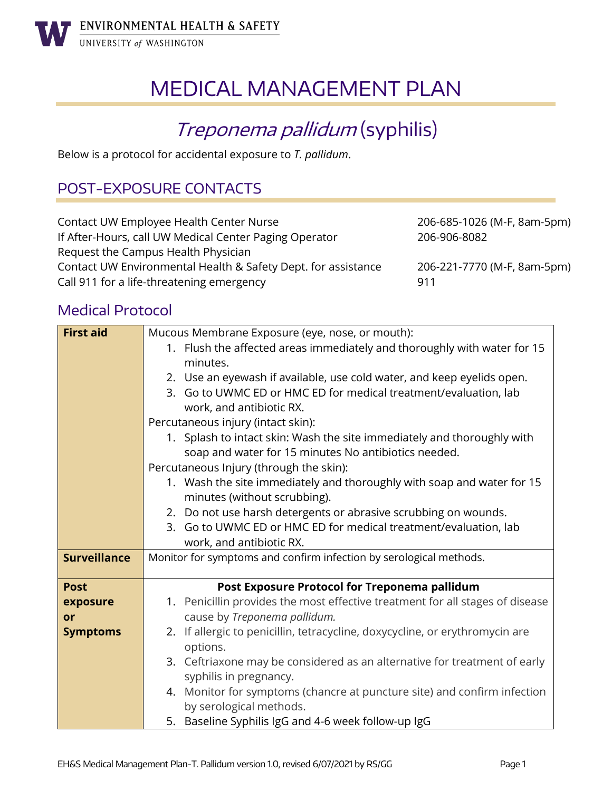

# MEDICAL MANAGEMENT PLAN

## Treponema pallidum (syphilis)

Below is a protocol for accidental exposure to *T. pallidum*.

## POST-EXPOSURE CONTACTS

| Contact UW Employee Health Center Nurse                                | 206-685-1026 (M-F, 8am-5pm) |
|------------------------------------------------------------------------|-----------------------------|
| If After-Hours, call UW Medical Center Paging Operator<br>206-906-8082 |                             |
| Request the Campus Health Physician                                    |                             |
| Contact UW Environmental Health & Safety Dept. for assistance          | 206-221-7770 (M-F, 8am-5pm) |
| Call 911 for a life-threatening emergency                              | 911                         |

## Medical Protocol

| <b>First aid</b>    | Mucous Membrane Exposure (eye, nose, or mouth):                               |  |
|---------------------|-------------------------------------------------------------------------------|--|
|                     | 1. Flush the affected areas immediately and thoroughly with water for 15      |  |
|                     | minutes.                                                                      |  |
|                     | 2. Use an eyewash if available, use cold water, and keep eyelids open.        |  |
|                     | 3. Go to UWMC ED or HMC ED for medical treatment/evaluation, lab              |  |
|                     | work, and antibiotic RX.                                                      |  |
|                     | Percutaneous injury (intact skin):                                            |  |
|                     | 1. Splash to intact skin: Wash the site immediately and thoroughly with       |  |
|                     | soap and water for 15 minutes No antibiotics needed.                          |  |
|                     | Percutaneous Injury (through the skin):                                       |  |
|                     | 1. Wash the site immediately and thoroughly with soap and water for 15        |  |
|                     | minutes (without scrubbing).                                                  |  |
|                     | 2. Do not use harsh detergents or abrasive scrubbing on wounds.               |  |
|                     | 3. Go to UWMC ED or HMC ED for medical treatment/evaluation, lab              |  |
|                     | work, and antibiotic RX.                                                      |  |
| <b>Surveillance</b> | Monitor for symptoms and confirm infection by serological methods.            |  |
| <b>Post</b>         | Post Exposure Protocol for Treponema pallidum                                 |  |
| exposure            | 1. Penicillin provides the most effective treatment for all stages of disease |  |
| or                  | cause by Treponema pallidum.                                                  |  |
| <b>Symptoms</b>     | 2. If allergic to penicillin, tetracycline, doxycycline, or erythromycin are  |  |
|                     | options.                                                                      |  |
|                     | 3. Ceftriaxone may be considered as an alternative for treatment of early     |  |
|                     | syphilis in pregnancy.                                                        |  |
|                     | 4. Monitor for symptoms (chancre at puncture site) and confirm infection      |  |
|                     | by serological methods.                                                       |  |
|                     | 5. Baseline Syphilis IgG and 4-6 week follow-up IgG                           |  |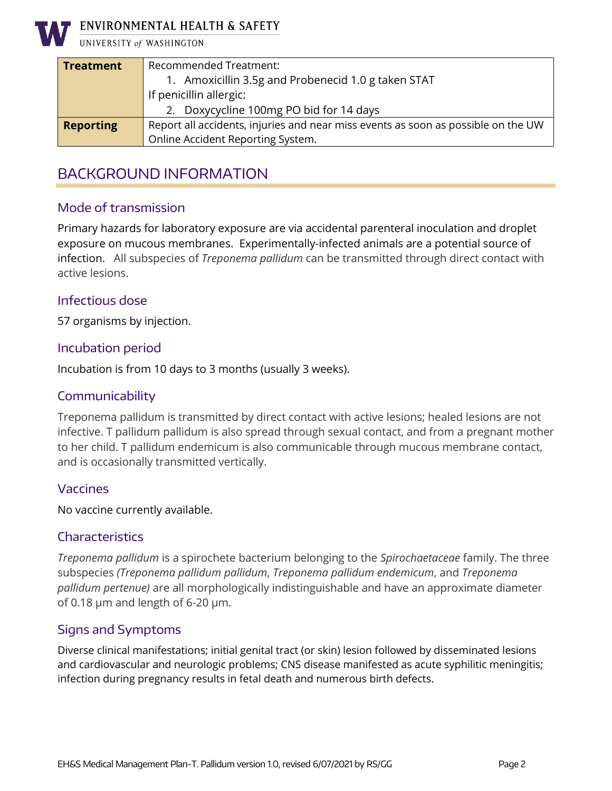

ENVIRONMENTAL HEALTH & SAFETY

UNIVERSITY of WASHINGTON

| <b>Treatment</b> | Recommended Treatment:                                                            |
|------------------|-----------------------------------------------------------------------------------|
|                  | 1. Amoxicillin 3.5g and Probenecid 1.0 g taken STAT                               |
|                  | If penicillin allergic:                                                           |
|                  | 2. Doxycycline 100mg PO bid for 14 days                                           |
| <b>Reporting</b> | Report all accidents, injuries and near miss events as soon as possible on the UW |
|                  | Online Accident Reporting System.                                                 |

## BACKGROUND INFORMATION

#### Mode of transmission

Primary hazards for laboratory exposure are via accidental parenteral inoculation and droplet exposure on mucous membranes. Experimentally-infected animals are a potential source of infection. All subspecies of *Treponema pallidum* can be transmitted through direct contact with active lesions.

#### Infectious dose

57 organisms by injection.

#### Incubation period

Incubation is from 10 days to 3 months (usually 3 weeks).

#### Communicability

Treponema pallidum is transmitted by direct contact with active lesions; healed lesions are not infective. T pallidum pallidum is also spread through sexual contact, and from a pregnant mother to her child. T pallidum endemicum is also communicable through mucous membrane contact, and is occasionally transmitted vertically.

#### Vaccines

No vaccine currently available.

#### **Characteristics**

*Treponema pallidum* is a spirochete bacterium belonging to the *Spirochaetaceae* family. The three subspecies *(Treponema pallidum pallidum*, *Treponema pallidum endemicum*, and *Treponema pallidum pertenue)* are all morphologically indistinguishable and have an approximate diameter of 0.18  $\mu$ m and length of 6-20  $\mu$ m.

#### Signs and Symptoms

Diverse clinical manifestations; initial genital tract (or skin) lesion followed by disseminated lesions and cardiovascular and neurologic problems; CNS disease manifested as acute syphilitic meningitis; infection during pregnancy results in fetal death and numerous birth defects.